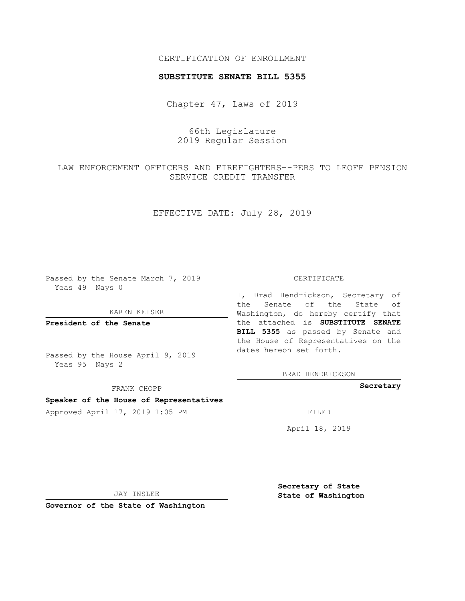# CERTIFICATION OF ENROLLMENT

## **SUBSTITUTE SENATE BILL 5355**

Chapter 47, Laws of 2019

66th Legislature 2019 Regular Session

LAW ENFORCEMENT OFFICERS AND FIREFIGHTERS--PERS TO LEOFF PENSION SERVICE CREDIT TRANSFER

EFFECTIVE DATE: July 28, 2019

Passed by the Senate March 7, 2019 Yeas 49 Nays 0

KAREN KEISER

**President of the Senate**

Passed by the House April 9, 2019 Yeas 95 Nays 2

FRANK CHOPP

## **Speaker of the House of Representatives**

Approved April 17, 2019 1:05 PM FILED

#### CERTIFICATE

I, Brad Hendrickson, Secretary of the Senate of the State of Washington, do hereby certify that the attached is **SUBSTITUTE SENATE BILL 5355** as passed by Senate and the House of Representatives on the dates hereon set forth.

BRAD HENDRICKSON

**Secretary**

April 18, 2019

JAY INSLEE

**Governor of the State of Washington**

**Secretary of State State of Washington**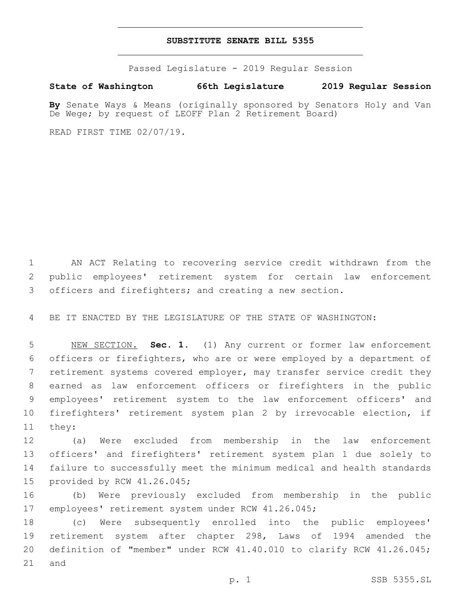## **SUBSTITUTE SENATE BILL 5355**

Passed Legislature - 2019 Regular Session

# **State of Washington 66th Legislature 2019 Regular Session**

**By** Senate Ways & Means (originally sponsored by Senators Holy and Van De Wege; by request of LEOFF Plan 2 Retirement Board)

READ FIRST TIME 02/07/19.

 AN ACT Relating to recovering service credit withdrawn from the public employees' retirement system for certain law enforcement 3 officers and firefighters; and creating a new section.

BE IT ENACTED BY THE LEGISLATURE OF THE STATE OF WASHINGTON:

 NEW SECTION. **Sec. 1.** (1) Any current or former law enforcement officers or firefighters, who are or were employed by a department of retirement systems covered employer, may transfer service credit they earned as law enforcement officers or firefighters in the public employees' retirement system to the law enforcement officers' and firefighters' retirement system plan 2 by irrevocable election, if they:

 (a) Were excluded from membership in the law enforcement officers' and firefighters' retirement system plan 1 due solely to failure to successfully meet the minimum medical and health standards 15 provided by RCW 41.26.045;

 (b) Were previously excluded from membership in the public 17 employees' retirement system under RCW 41.26.045;

 (c) Were subsequently enrolled into the public employees' retirement system after chapter 298, Laws of 1994 amended the definition of "member" under RCW 41.40.010 to clarify RCW 41.26.045; and